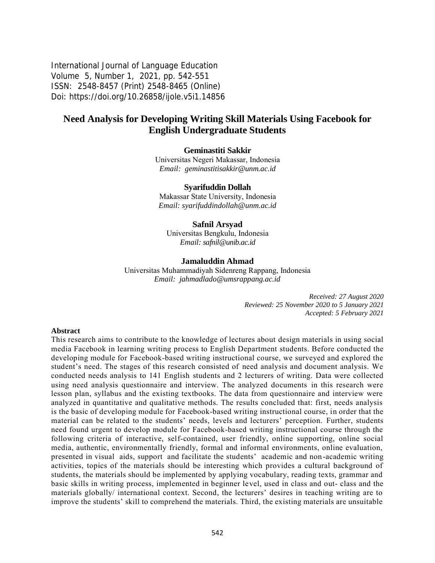International Journal of Language Education Volume 5, Number 1, 2021, pp. 542-551 ISSN: 2548-8457 (Print) 2548-8465 (Online) Doi: <https://doi.org/10.26858/ijole.v5i1.14856>

# **Need Analysis for Developing Writing Skill Materials Using Facebook for English Undergraduate Students**

### **Geminastiti Sakkir**

Universitas Negeri Makassar, Indonesia *Email: [geminastitisakkir@unm.ac.id](mailto:geminastitisakkir@unm.ac.id)*

### **Syarifuddin Dollah**

Makassar State University, Indonesia *Email: [syarifuddindollah@unm.ac.id](mailto:syarifuddindollah@unm.ac.id)*

### **Safnil Arsyad**

Universitas Bengkulu, Indonesia *Email: [safnil@unib.ac.id](mailto:safnil@unib.ac.id)*

### **Jamaluddin Ahmad**

Universitas Muhammadiyah Sidenreng Rappang, Indonesia *Email: [jahmadlado@umsrappang.ac.id](mailto:jahmadlado@umsrappang.ac.id)*

> *Received: 27 August 2020 Reviewed: 25 November 2020 to 5 January 2021 Accepted: 5 February 2021*

#### **Abstract**

This research aims to contribute to the knowledge of lectures about design materials in using social media Facebook in learning writing process to English Department students. Before conducted the developing module for Facebook-based writing instructional course, we surveyed and explored the student's need. The stages of this research consisted of need analysis and document analysis. We conducted needs analysis to 141 English students and 2 lecturers of writing. Data were collected using need analysis questionnaire and interview. The analyzed documents in this research were lesson plan, syllabus and the existing textbooks. The data from questionnaire and interview were analyzed in quantitative and qualitative methods. The results concluded that: first, needs analysis is the basic of developing module for Facebook-based writing instructional course, in order that the material can be related to the students' needs, levels and lecturers' perception. Further, students need found urgent to develop module for Facebook-based writing instructional course through the following criteria of interactive, self-contained, user friendly, online supporting, online social media, authentic, environmentally friendly, formal and informal environments, online evaluation, presented in visual aids, support and facilitate the students' academic and non-academic writing activities, topics of the materials should be interesting which provides a cultural background of students, the materials should be implemented by applying vocabulary, reading texts, grammar and basic skills in writing process, implemented in beginner level, used in class and out- class and the materials globally/ international context. Second, the lecturers' desires in teaching writing are to improve the students' skill to comprehend the materials. Third, the existing materials are unsuitable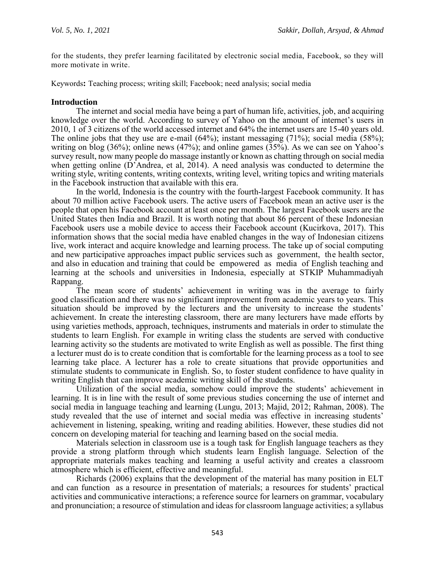for the students, they prefer learning facilitated by electronic social media, Facebook, so they will more motivate in write.

Keywords**:** Teaching process; writing skill; Facebook; need analysis; social media

### **Introduction**

The internet and social media have being a part of human life, activities, job, and acquiring knowledge over the world. According to survey of Yahoo on the amount of internet's users in 2010, 1 of 3 citizens of the world accessed internet and 64% the internet users are 15-40 years old. The online jobs that they use are e-mail  $(64\%)$ ; instant messaging  $(71\%)$ ; social media  $(58\%)$ ; writing on blog (36%); online news (47%); and online games (35%). As we can see on Yahoo's survey result, now many people do massage instantly or known as chatting through on social media when getting online (D'Andrea, et al, 2014). A need analysis was conducted to determine the writing style, writing contents, writing contexts, writing level, writing topics and writing materials in the Facebook instruction that available with this era.

In the world, Indonesia is the country with the fourth-largest Facebook community. It has about 70 million active Facebook users. The active users of Facebook mean an active user is the people that open his Facebook account at least once per month. The largest Facebook users are the United States then India and Brazil. It is worth noting that about 86 percent of these Indonesian Facebook users use a mobile device to access their Facebook account (Kucirkova, 2017). This information shows that the social media have enabled changes in the way of Indonesian citizens live, work interact and acquire knowledge and learning process. The take up of social computing and new participative approaches impact public services such as government, the health sector, and also in education and training that could be empowered as media of English teaching and learning at the schools and universities in Indonesia, especially at STKIP Muhammadiyah Rappang.

The mean score of students' achievement in writing was in the average to fairly good classification and there was no significant improvement from academic years to years. This situation should be improved by the lecturers and the university to increase the students' achievement. In create the interesting classroom, there are many lecturers have made efforts by using varieties methods, approach, techniques, instruments and materials in order to stimulate the students to learn English. For example in writing class the students are served with conductive learning activity so the students are motivated to write English as well as possible. The first thing a lecturer must do is to create condition that is comfortable for the learning process as a tool to see learning take place. A lecturer has a role to create situations that provide opportunities and stimulate students to communicate in English. So, to foster student confidence to have quality in writing English that can improve academic writing skill of the students.

Utilization of the social media, somehow could improve the students' achievement in learning. It is in line with the result of some previous studies concerning the use of internet and social media in language teaching and learning (Lungu, 2013; Majid, 2012; Rahman, 2008). The study revealed that the use of internet and social media was effective in increasing students' achievement in listening, speaking, writing and reading abilities. However, these studies did not concern on developing material for teaching and learning based on the social media.

Materials selection in classroom use is a tough task for English language teachers as they provide a strong platform through which students learn English language. Selection of the appropriate materials makes teaching and learning a useful activity and creates a classroom atmosphere which is efficient, effective and meaningful.

Richards (2006) explains that the development of the material has many position in ELT and can function as a resource in presentation of materials; a resources for students' practical activities and communicative interactions; a reference source for learners on grammar, vocabulary and pronunciation; a resource of stimulation and ideas for classroom language activities; a syllabus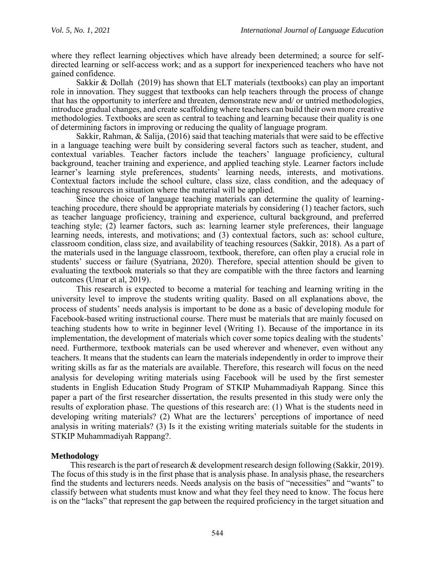where they reflect learning objectives which have already been determined; a source for selfdirected learning or self-access work; and as a support for inexperienced teachers who have not gained confidence.

Sakkir  $\&$  Dollah (2019) has shown that ELT materials (textbooks) can play an important role in innovation. They suggest that textbooks can help teachers through the process of change that has the opportunity to interfere and threaten, demonstrate new and/ or untried methodologies, introduce gradual changes, and create scaffolding where teachers can build their own more creative methodologies. Textbooks are seen as central to teaching and learning because their quality is one of determining factors in improving or reducing the quality of language program.

Sakkir, Rahman, & Salija, (2016) said that teaching materials that were said to be effective in a language teaching were built by considering several factors such as teacher, student, and contextual variables. Teacher factors include the teachers' language proficiency, cultural background, teacher training and experience, and applied teaching style. Learner factors include learner's learning style preferences, students' learning needs, interests, and motivations. Contextual factors include the school culture, class size, class condition, and the adequacy of teaching resources in situation where the material will be applied.

Since the choice of language teaching materials can determine the quality of learningteaching procedure, there should be appropriate materials by considering (1) teacher factors, such as teacher language proficiency, training and experience, cultural background, and preferred teaching style; (2) learner factors, such as: learning learner style preferences, their language learning needs, interests, and motivations; and (3) contextual factors, such as: school culture, classroom condition, class size, and availability of teaching resources (Sakkir, 2018). As a part of the materials used in the language classroom, textbook, therefore, can often play a crucial role in students' success or failure (Syatriana, 2020). Therefore, special attention should be given to evaluating the textbook materials so that they are compatible with the three factors and learning outcomes (Umar et al, 2019).

This research is expected to become a material for teaching and learning writing in the university level to improve the students writing quality. Based on all explanations above, the process of students' needs analysis is important to be done as a basic of developing module for Facebook-based writing instructional course. There must be materials that are mainly focused on teaching students how to write in beginner level (Writing 1). Because of the importance in its implementation, the development of materials which cover some topics dealing with the students' need. Furthermore, textbook materials can be used wherever and whenever, even without any teachers. It means that the students can learn the materials independently in order to improve their writing skills as far as the materials are available. Therefore, this research will focus on the need analysis for developing writing materials using Facebook will be used by the first semester students in English Education Study Program of STKIP Muhammadiyah Rappang. Since this paper a part of the first researcher dissertation, the results presented in this study were only the results of exploration phase. The questions of this research are: (1) What is the students need in developing writing materials? (2) What are the lecturers' perceptions of importance of need analysis in writing materials? (3) Is it the existing writing materials suitable for the students in STKIP Muhammadiyah Rappang?.

## **Methodology**

This research is the part of research & development research design following (Sakkir, 2019). The focus of this study is in the first phase that is analysis phase. In analysis phase, the researchers find the students and lecturers needs. Needs analysis on the basis of "necessities" and "wants" to classify between what students must know and what they feel they need to know. The focus here is on the "lacks" that represent the gap between the required proficiency in the target situation and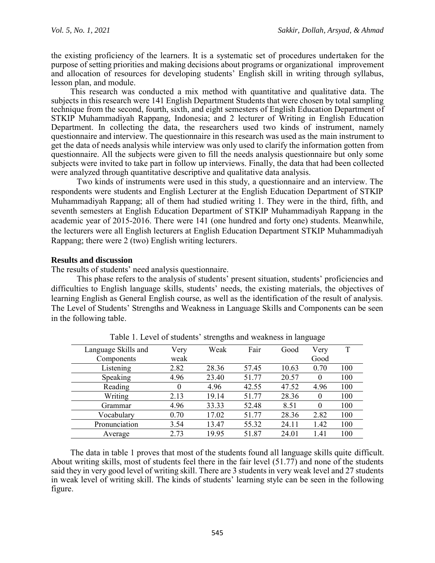the existing proficiency of the learners. It is a systematic set of procedures undertaken for the purpose of setting priorities and making decisions about programs or organizational improvement and allocation of resources for developing students' English skill in writing through syllabus, lesson plan, and module.

This research was conducted a mix method with quantitative and qualitative data. The subjects in this research were 141 English Department Students that were chosen by total sampling technique from the second, fourth, sixth, and eight semesters of English Education Department of STKIP Muhammadiyah Rappang, Indonesia; and 2 lecturer of Writing in English Education Department. In collecting the data, the researchers used two kinds of instrument, namely questionnaire and interview. The questionnaire in this research was used as the main instrument to get the data of needs analysis while interview was only used to clarify the information gotten from questionnaire. All the subjects were given to fill the needs analysis questionnaire but only some subjects were invited to take part in follow up interviews. Finally, the data that had been collected were analyzed through quantitative descriptive and qualitative data analysis.

Two kinds of instruments were used in this study, a questionnaire and an interview. The respondents were students and English Lecturer at the English Education Department of STKIP Muhammadiyah Rappang; all of them had studied writing 1. They were in the third, fifth, and seventh semesters at English Education Department of STKIP Muhammadiyah Rappang in the academic year of 2015-2016. There were 141 (one hundred and forty one) students. Meanwhile, the lecturers were all English lecturers at English Education Department STKIP Muhammadiyah Rappang; there were 2 (two) English writing lecturers.

## **Results and discussion**

The results of students' need analysis questionnaire.

This phase refers to the analysis of students' present situation, students' proficiencies and difficulties to English language skills, students' needs, the existing materials, the objectives of learning English as General English course, as well as the identification of the result of analysis. The Level of Students' Strengths and Weakness in Language Skills and Components can be seen in the following table.

| Language Skills and | Very | Weak  | Fair  | Good  | Very     | T   |
|---------------------|------|-------|-------|-------|----------|-----|
| Components          | weak |       |       |       | Good     |     |
| Listening           | 2.82 | 28.36 | 57.45 | 10.63 | 0.70     | 100 |
| Speaking            | 4.96 | 23.40 | 51.77 | 20.57 | $\theta$ | 100 |
| Reading             | 0    | 4.96  | 42.55 | 47.52 | 4.96     | 100 |
| Writing             | 2.13 | 19.14 | 51.77 | 28.36 | $\Omega$ | 100 |
| Grammar             | 4.96 | 33.33 | 52.48 | 8.51  | $\theta$ | 100 |
| Vocabulary          | 0.70 | 17.02 | 51.77 | 28.36 | 2.82     | 100 |
| Pronunciation       | 3.54 | 13.47 | 55.32 | 24.11 | 1.42     | 100 |
| Average             | 2.73 | 19.95 | 51.87 | 24.01 | 1.41     | 100 |

Table 1. Level of students' strengths and weakness in language

The data in table 1 proves that most of the students found all language skills quite difficult. About writing skills, most of students feel there in the fair level (51.77) and none of the students said they in very good level of writing skill. There are 3 students in very weak level and 27 students in weak level of writing skill. The kinds of students' learning style can be seen in the following figure.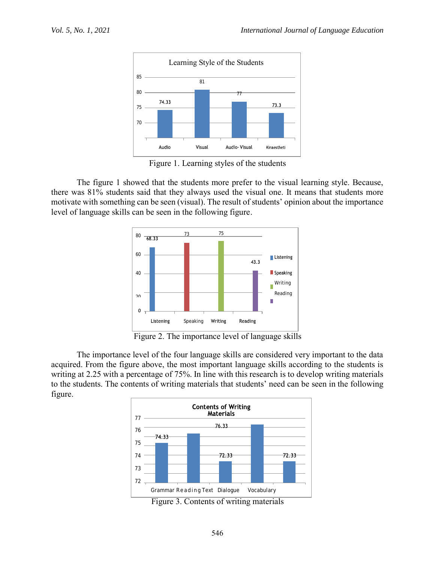

Figure 1. Learning styles of the students

The figure 1 showed that the students more prefer to the visual learning style. Because, there was 81% students said that they always used the visual one. It means that students more motivate with something can be seen (visual). The result of students' opinion about the importance level of language skills can be seen in the following figure.



Figure 2. The importance level of language skills

The importance level of the four language skills are considered very important to the data acquired. From the figure above, the most important language skills according to the students is writing at 2.25 with a percentage of 75%. In line with this research is to develop writing materials to the students. The contents of writing materials that students' need can be seen in the following figure.



Figure 3. Contents of writing materials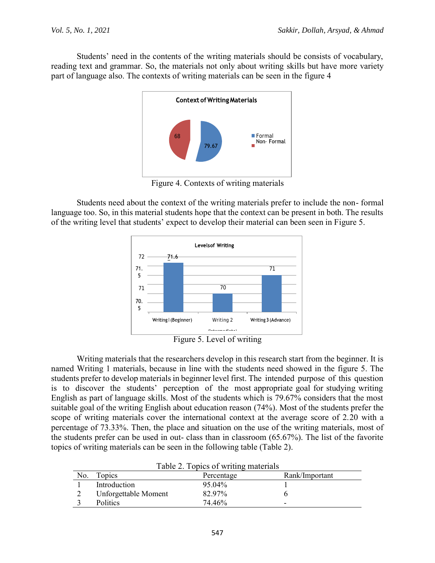Students' need in the contents of the writing materials should be consists of vocabulary, reading text and grammar. So, the materials not only about writing skills but have more variety part of language also. The contexts of writing materials can be seen in the figure 4



Figure 4. Contexts of writing materials

Students need about the context of the writing materials prefer to include the non- formal language too. So, in this material students hope that the context can be present in both. The results of the writing level that students' expect to develop their material can been seen in Figure 5.





Writing materials that the researchers develop in this research start from the beginner. It is named Writing 1 materials, because in line with the students need showed in the figure 5. The students prefer to develop materials in beginner level first. The intended purpose of this question is to discover the students' perception of the most appropriate goal for studying writing English as part of language skills. Most of the students which is 79.67% considers that the most suitable goal of the writing English about education reason (74%). Most of the students prefer the scope of writing materials cover the international context at the average score of 2.20 with a percentage of 73.33%. Then, the place and situation on the use of the writing materials, most of the students prefer can be used in out- class than in classroom (65.67%). The list of the favorite topics of writing materials can be seen in the following table (Table 2).

| No. | Topics               | Percentage | Rank/Important |
|-----|----------------------|------------|----------------|
|     | Introduction         | 95 04%     |                |
|     | Unforgettable Moment | 82.97%     |                |
|     | <b>Politics</b>      | 74.46%     | -              |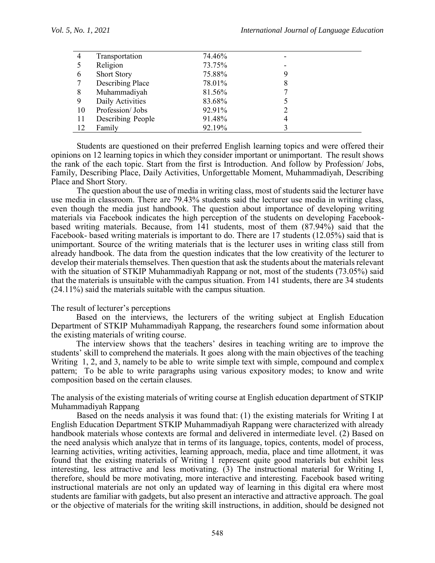| $\overline{4}$ | Transportation          | 74.46% |   |  |
|----------------|-------------------------|--------|---|--|
|                | Religion                | 73.75% |   |  |
| 6              | <b>Short Story</b>      | 75.88% | 9 |  |
|                | <b>Describing Place</b> | 78.01% | 8 |  |
| 8              | Muhammadiyah            | 81.56% |   |  |
| 9              | Daily Activities        | 83.68% |   |  |
| 10             | Profession/Jobs         | 92.91% |   |  |
| 11             | Describing People       | 91.48% | 4 |  |
| 12             | Family                  | 92.19% |   |  |

Students are questioned on their preferred English learning topics and were offered their opinions on 12 learning topics in which they consider important or unimportant. The result shows the rank of the each topic. Start from the first is Introduction. And follow by Profession/ Jobs, Family, Describing Place, Daily Activities, Unforgettable Moment, Muhammadiyah, Describing Place and Short Story.

The question about the use of media in writing class, most of students said the lecturer have use media in classroom. There are 79.43% students said the lecturer use media in writing class, even though the media just handbook. The question about importance of developing writing materials via Facebook indicates the high perception of the students on developing Facebookbased writing materials. Because, from 141 students, most of them (87.94%) said that the Facebook- based writing materials is important to do. There are 17 students (12.05%) said that is unimportant. Source of the writing materials that is the lecturer uses in writing class still from already handbook. The data from the question indicates that the low creativity of the lecturer to develop their materials themselves. Then question that ask the students about the materials relevant with the situation of STKIP Muhammadiyah Rappang or not, most of the students (73.05%) said that the materials is unsuitable with the campus situation. From 141 students, there are 34 students (24.11%) said the materials suitable with the campus situation.

## The result of lecturer's perceptions

Based on the interviews, the lecturers of the writing subject at English Education Department of STKIP Muhammadiyah Rappang, the researchers found some information about the existing materials of writing course.

The interview shows that the teachers' desires in teaching writing are to improve the students' skill to comprehend the materials. It goes along with the main objectives of the teaching Writing 1, 2, and 3, namely to be able to write simple text with simple, compound and complex pattern; To be able to write paragraphs using various expository modes; to know and write composition based on the certain clauses.

The analysis of the existing materials of writing course at English education department of STKIP Muhammadiyah Rappang

Based on the needs analysis it was found that: (1) the existing materials for Writing I at English Education Department STKIP Muhammadiyah Rappang were characterized with already handbook materials whose contexts are formal and delivered in intermediate level. (2) Based on the need analysis which analyze that in terms of its language, topics, contents, model of process, learning activities, writing activities, learning approach, media, place and time allotment, it was found that the existing materials of Writing 1 represent quite good materials but exhibit less interesting, less attractive and less motivating. (3) The instructional material for Writing I, therefore, should be more motivating, more interactive and interesting. Facebook based writing instructional materials are not only an updated way of learning in this digital era where most students are familiar with gadgets, but also present an interactive and attractive approach. The goal or the objective of materials for the writing skill instructions, in addition, should be designed not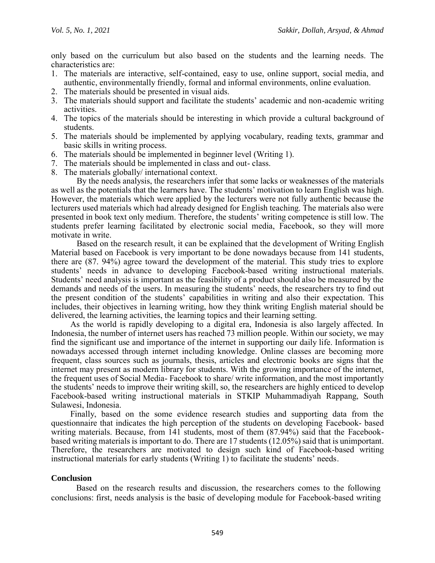only based on the curriculum but also based on the students and the learning needs. The characteristics are:

- 1. The materials are interactive, self-contained, easy to use, online support, social media, and authentic, environmentally friendly, formal and informal environments, online evaluation.
- 2. The materials should be presented in visual aids.
- 3. The materials should support and facilitate the students' academic and non-academic writing activities.
- 4. The topics of the materials should be interesting in which provide a cultural background of students.
- 5. The materials should be implemented by applying vocabulary, reading texts, grammar and basic skills in writing process.
- 6. The materials should be implemented in beginner level (Writing 1).
- 7. The materials should be implemented in class and out- class.
- 8. The materials globally/ international context.

By the needs analysis, the researchers infer that some lacks or weaknesses of the materials as well as the potentials that the learners have. The students' motivation to learn English was high. However, the materials which were applied by the lecturers were not fully authentic because the lecturers used materials which had already designed for English teaching. The materials also were presented in book text only medium. Therefore, the students' writing competence is still low. The students prefer learning facilitated by electronic social media, Facebook, so they will more motivate in write.

Based on the research result, it can be explained that the development of Writing English Material based on Facebook is very important to be done nowadays because from 141 students, there are (87. 94%) agree toward the development of the material. This study tries to explore students' needs in advance to developing Facebook-based writing instructional materials. Students' need analysis is important as the feasibility of a product should also be measured by the demands and needs of the users. In measuring the students' needs, the researchers try to find out the present condition of the students' capabilities in writing and also their expectation. This includes, their objectives in learning writing, how they think writing English material should be delivered, the learning activities, the learning topics and their learning setting.

As the world is rapidly developing to a digital era, Indonesia is also largely affected. In Indonesia, the number of internet users has reached 73 million people. Within our society, we may find the significant use and importance of the internet in supporting our daily life. Information is nowadays accessed through internet including knowledge. Online classes are becoming more frequent, class sources such as journals, thesis, articles and electronic books are signs that the internet may present as modern library for students. With the growing importance of the internet, the frequent uses of Social Media- Facebook to share/ write information, and the most importantly the students' needs to improve their writing skill, so, the researchers are highly enticed to develop Facebook-based writing instructional materials in STKIP Muhammadiyah Rappang, South Sulawesi, Indonesia.

Finally, based on the some evidence research studies and supporting data from the questionnaire that indicates the high perception of the students on developing Facebook- based writing materials. Because, from 141 students, most of them (87.94%) said that the Facebookbased writing materials is important to do. There are 17 students (12.05%) said that is unimportant. Therefore, the researchers are motivated to design such kind of Facebook-based writing instructional materials for early students (Writing 1) to facilitate the students' needs.

## **Conclusion**

Based on the research results and discussion, the researchers comes to the following conclusions: first, needs analysis is the basic of developing module for Facebook-based writing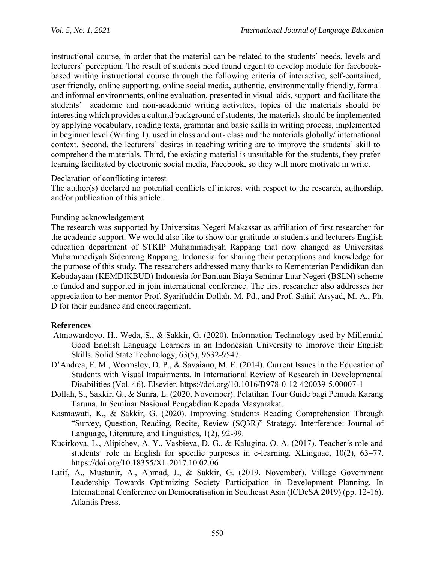instructional course, in order that the material can be related to the students' needs, levels and lecturers' perception. The result of students need found urgent to develop module for facebookbased writing instructional course through the following criteria of interactive, self-contained, user friendly, online supporting, online social media, authentic, environmentally friendly, formal and informal environments, online evaluation, presented in visual aids, support and facilitate the students' academic and non-academic writing activities, topics of the materials should be interesting which provides a cultural background of students, the materials should be implemented by applying vocabulary, reading texts, grammar and basic skills in writing process, implemented in beginner level (Writing 1), used in class and out- class and the materials globally/ international context. Second, the lecturers' desires in teaching writing are to improve the students' skill to comprehend the materials. Third, the existing material is unsuitable for the students, they prefer learning facilitated by electronic social media, Facebook, so they will more motivate in write.

## Declaration of conflicting interest

The author(s) declared no potential conflicts of interest with respect to the research, authorship, and/or publication of this article.

## Funding acknowledgement

The research was supported by Universitas Negeri Makassar as affiliation of first researcher for the academic support. We would also like to show our gratitude to students and lecturers English education department of STKIP Muhammadiyah Rappang that now changed as Universitas Muhammadiyah Sidenreng Rappang, Indonesia for sharing their perceptions and knowledge for the purpose of this study. The researchers addressed many thanks to Kementerian Pendidikan dan Kebudayaan (KEMDIKBUD) Indonesia for Bantuan Biaya Seminar Luar Negeri (BSLN) scheme to funded and supported in join international conference. The first researcher also addresses her appreciation to her mentor Prof. Syarifuddin Dollah, M. Pd., and Prof. Safnil Arsyad, M. A., Ph. D for their guidance and encouragement.

## **References**

- Atmowardoyo, H., Weda, S., & Sakkir, G. (2020). Information Technology used by Millennial Good English Language Learners in an Indonesian University to Improve their English Skills. Solid State Technology, 63(5), 9532-9547.
- D'Andrea, F. M., Wormsley, D. P., & Savaiano, M. E. (2014). Current Issues in the Education of Students with Visual Impairments. In International Review of Research in Developmental Disabilities (Vol. 46). Elsevier. https://doi.org/10.1016/B978-0-12-420039-5.00007-1
- Dollah, S., Sakkir, G., & Sunra, L. (2020, November). Pelatihan Tour Guide bagi Pemuda Karang Taruna. In Seminar Nasional Pengabdian Kepada Masyarakat.
- Kasmawati, K., & Sakkir, G. (2020). Improving Students Reading Comprehension Through "Survey, Question, Reading, Recite, Review (SQ3R)" Strategy. Interference: Journal of Language, Literature, and Linguistics, 1(2), 92-99.
- Kucirkova, L., Alipichev, A. Y., Vasbieva, D. G., & Kalugina, O. A. (2017). Teacher´s role and students´ role in English for specific purposes in e-learning. XLinguae, 10(2), 63–77. https://doi.org/10.18355/XL.2017.10.02.06
- Latif, A., Mustanir, A., Ahmad, J., & Sakkir, G. (2019, November). Village Government Leadership Towards Optimizing Society Participation in Development Planning. In International Conference on Democratisation in Southeast Asia (ICDeSA 2019) (pp. 12-16). Atlantis Press.